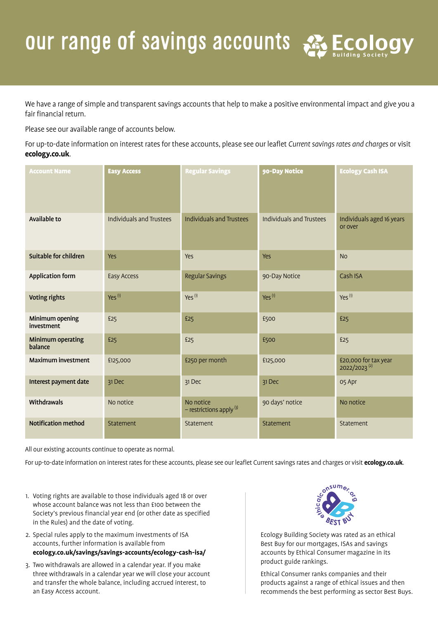## our range of savings accounts & Ecology

We have a range of simple and transparent savings accounts that help to make a positive environmental impact and give you a fair financial return.

Please see our available range of accounts below.

For up-to-date information on interest rates for these accounts, please see our leaflet *Current savings rates and charges* or visit **ecology.co.uk**.

| <b>Account Name</b>                 | <b>Easy Access</b>       | <b>Regular Savings</b>                    | 90-Day Notice            | <b>Ecology Cash ISA</b>                          |
|-------------------------------------|--------------------------|-------------------------------------------|--------------------------|--------------------------------------------------|
| Available to                        | Individuals and Trustees | <b>Individuals and Trustees</b>           | Individuals and Trustees | Individuals aged 16 years<br>or over             |
| Suitable for children               | Yes                      | <b>Yes</b>                                | <b>Yes</b>               | <b>No</b>                                        |
| <b>Application form</b>             | Easy Access              | <b>Regular Savings</b>                    | 90-Day Notice            | Cash ISA                                         |
| <b>Voting rights</b>                | $Yes^{(1)}$              | $Yes^{(1)}$                               | $Yes^{(1)}$              | $Yes^{(1)}$                                      |
| Minimum opening<br>investment       | £25                      | £25                                       | £500                     | £25                                              |
| <b>Minimum operating</b><br>balance | £25                      | £25                                       | £500                     | £25                                              |
| <b>Maximum investment</b>           | £125,000                 | £250 per month                            | £125,000                 | £20,000 for tax year<br>2022/2023 <sup>(2)</sup> |
| Interest payment date               | 31 Dec                   | 31 Dec                                    | 31 Dec                   | 05 Apr                                           |
| Withdrawals                         | No notice                | No notice<br>$-$ restrictions apply $(3)$ | 90 days' notice          | No notice                                        |
| <b>Notification method</b>          | Statement                | Statement                                 | Statement                | Statement                                        |

All our existing accounts continue to operate as normal.

For up-to-date information on interest rates for these accounts, please see our leaflet Current savings rates and charges or visit **ecology.co.uk**.

- 1. Voting rights are available to those individuals aged 18 or over whose account balance was not less than £100 between the Society's previous financial year end (or other date as specified in the Rules) and the date of voting.
- 2. Special rules apply to the maximum investments of ISA accounts, further information is available from **ecology.co.uk/savings/savings-accounts/ecology-cash-isa/**
- 3. Two withdrawals are allowed in a calendar year. If you make three withdrawals in a calendar year we will close your account and transfer the whole balance, including accrued interest, to an Easy Access account.



Ecology Building Society was rated as an ethical Best Buy for our mortgages, ISAs and savings accounts by Ethical Consumer magazine in its product guide rankings.

Ethical Consumer ranks companies and their products against a range of ethical issues and then recommends the best performing as sector Best Buys.